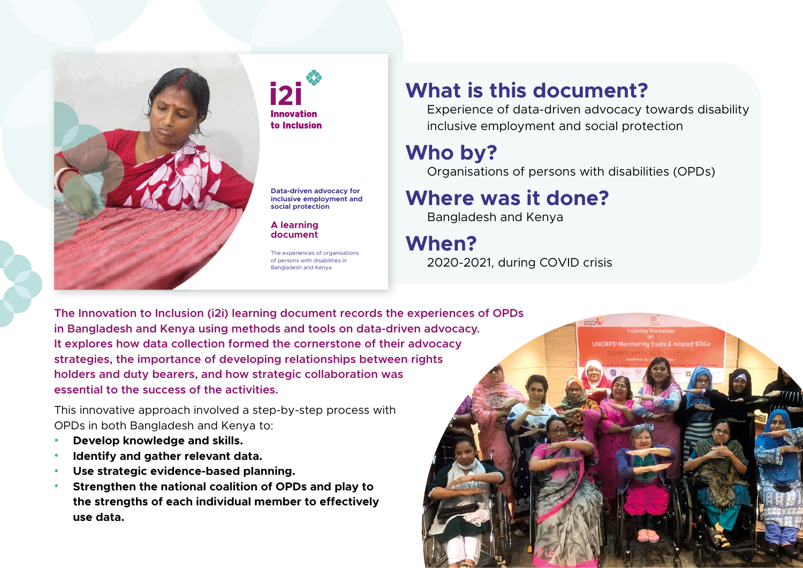

**Innovation** to Inclusion

**Data-driven advocacy for inclusive employment and social protection**

**A learning document**

The experiences of organisations of persons with disabilities in Bangladesh and Kenya

### **What is this document?**

Experience of data-driven advocacy towards disability inclusive employment and social protection

Tools & related SDGs

## **Who by?**

Organisations of persons with disabilities (OPDs)

# **Where was it done?**

Bangladesh and Kenya

**When?**  2020-2021, during COVID crisis

**The Innovation to Inclusion (i2i) learning document records the experiences of OPDs in Bangladesh and Kenya using methods and tools on data-driven advocacy. It explores how data collection formed the cornerstone of their advocacy strategies, the importance of developing relationships between rights holders and duty bearers, and how strategic collaboration was essential to the success of the activities.**

This innovative approach involved a step-by-step process with OPDs in both Bangladesh and Kenya to:

- **• Develop knowledge and skills.**
- **• Identify and gather relevant data.**
- **• Use strategic evidence-based planning.**
- **• Strengthen the national coalition of OPDs and play to the strengths of each individual member to effectively use data.**